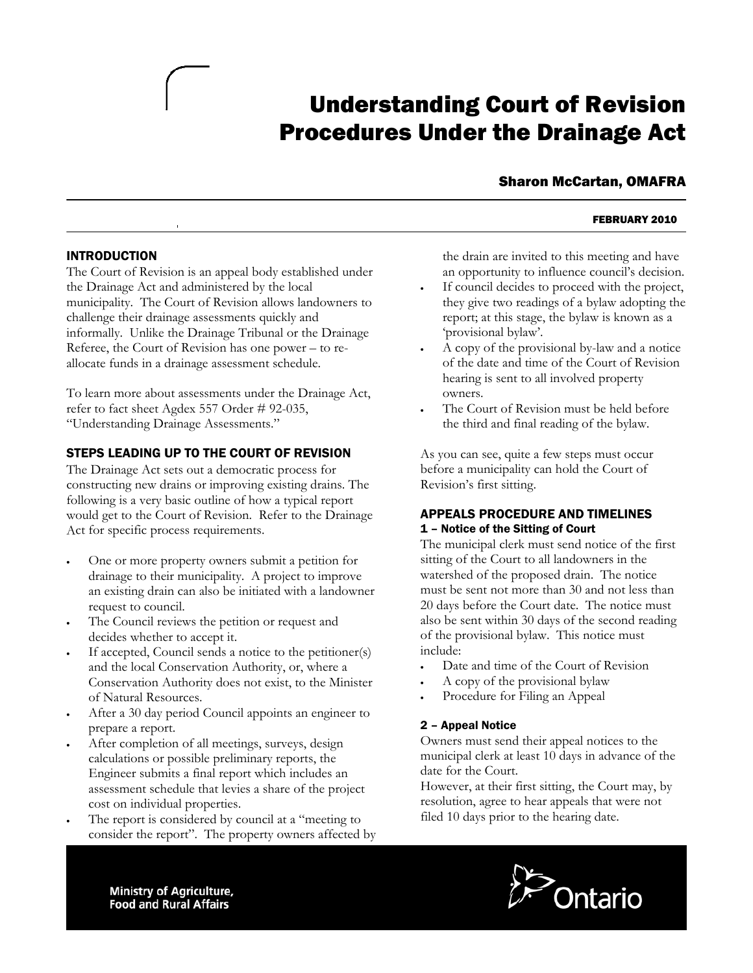# Understanding Court of Revision Procedures Under the Drainage Act

# Sharon McCartan, OMAFRA

#### FEBRUARY 2010

#### INTRODUCTION

No

The Court of Revision is an appeal body established under municipality. The Court of Revision allows landowners to informally. Unlike the Drainage Tribunal or the Drainage Referee, the Court of Revision has one power – to rellocate funds in a drainage assessment schedule. a the Drainage Act and administered by the local challenge their drainage assessments quickly and

To learn more about assessments under the Drainage Act, refer to fact sheet Agdex 557 Order # 92-035, Understanding Drainage Assessments." "

## STEPS LEADING UP TO THE COURT OF REVISION

constructing new drains or improving existing drains. The would get to the Court of Revision. Refer to the Drainage Act for specific process requirements. The Drainage Act sets out a democratic process for following is a very basic outline of how a typical report

- an existing drain can also be initiated with a landowner One or more property owners submit a petition for drainage to their municipality. A project to improve request to council.
- The Council reviews the petition or request and decides whether to accept it.
- If accepted, Council sends a notice to the petitioner(s) Conservation Authority does not exist, to the Minister and the local Conservation Authority, or, where a of Natural Resources.
- After a 30 day period Council appoints an engineer to prepare a report.
- assessment schedule that levies a share of the project c ost on individual properties. After completion of all meetings, surveys, design calculations or possible preliminary reports, the Engineer submits a final report which includes an
- consider the report". The property owners affected by The report is considered by council at a "meeting to

the drain are invited to this meeting and have an opportunity to influence council's decision.

- If council decides to proceed with the project, they give two readings of a bylaw adopting the report; at this stage, the bylaw is known as a 'provisional bylaw'.
- A copy of the provisional by-law and a notice of the date and time of the Court of Revision hearing is sent to all involved property owners.
- The Court of Revision must be held before the third and final reading of the bylaw.

As you can see, quite a few steps must occur before a municipality can hold the Court of Revision's first sitting.

#### APPEALS PROCEDURE AND TIMELINES 1 – Notice of the Sitting of Court

The municipal clerk must send notice of the first sitting of the Court to all landowners in the watershed of the proposed drain. The notice must be sent not more than 30 and not less than 20 days before the Court date. The notice must also be sent within 30 days of the second reading of the provisional bylaw. This notice must include:

- Date and time of the Court of Revision
- A copy of the provisional bylaw
- Procedure for Filing an Appeal

#### 2 – Appeal Notice

Owners must send their appeal notices to the municipal clerk at least 10 days in advance of the date for the Court.

However, at their first sitting, the Court may, by resolution, agree to hear appeals that were not filed 10 days prior to the hearing date.



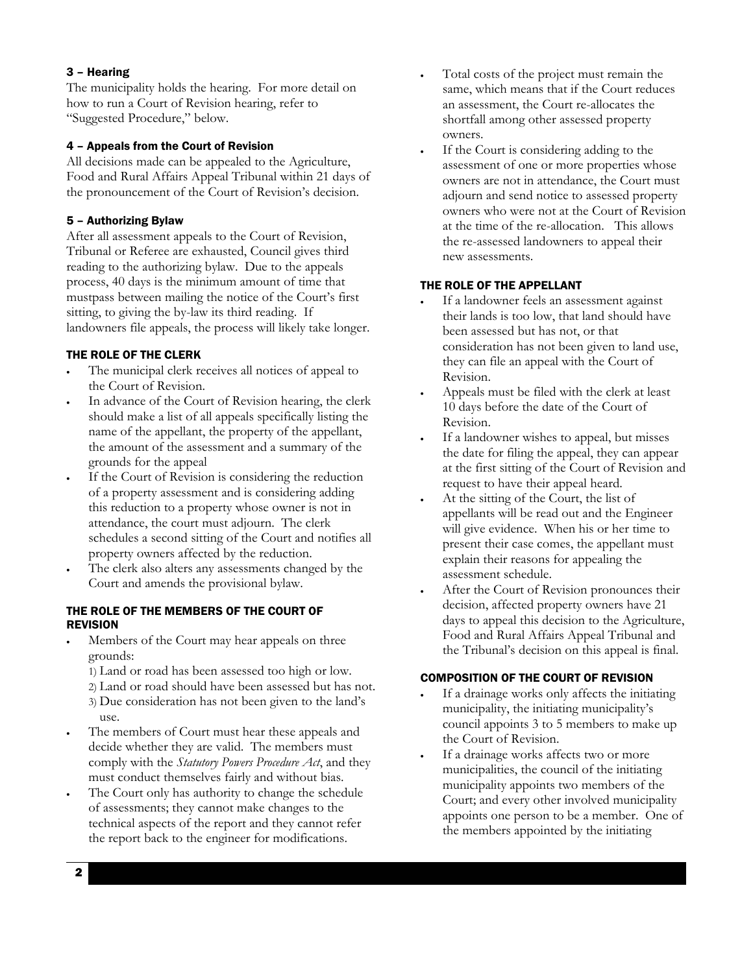#### 3 – Hearing

The municipality holds the hearing. For more detail on how to run a Court of Revision hearing, refer to Suggested Procedure," below. "

#### 4 – Appeals from the Court of Revision

the pronouncement of the Court of Revision's decision. All decisions made can be appealed to the Agriculture, Food and Rural Affairs Appeal Tribunal within 21 days of

#### 5 – Authorizing Bylaw

mustpass between mailing the notice of the Court's first landowners file appeals, the process will likely take longer. After all assessment appeals to the Court of Revision, Tribunal or Referee are exhausted, Council gives third reading to the authorizing bylaw. Due to the appeals process, 40 days is the minimum amount of time that sitting, to giving the by-law its third reading. If

#### THE ROLE OF THE CLERK

- In the municipal clerk receives all notices of appeal to the Court of Revision.
- the amount of the assessment and a summary of the In advance of the Court of Revision hearing, the clerk should make a list of all appeals specifically listing the name of the appellant, the property of the appellant, grounds for the appeal
- this reduction to a property whose owner is not in schedules a second sitting of the Court and notifies all If the Court of Revision is considering the reduction of a property assessment and is considering adding attendance, the court must adjourn. The clerk property owners affected by the reduction.
- The clerk also alters any assessments changed by the Court and amends the provisional bylaw.

#### THE ROLE OF THE MEMBERS OF THE COURT OF **REVISION**

- Members of the Court may hear appeals on three grounds:
	- 1) Land or road has been assessed too high or low.
	- 2) Land or road should have been assessed but has not.
	- 3) Due consideration has not been given to the land's use.
- comply with the *Statutory Powers Procedure Act*, and they The members of Court must hear these appeals and decide whether they are valid. The members must must conduct themselves fairly and without bias.
- In The Court only has authority to change the schedule the report back to the engineer for modifications. of assessments; they cannot make changes to the technical aspects of the report and they cannot refer
- same, which means that if the Court reduces Total costs of the project must remain the an assessment, the Court re-allocates the shortfall among other assessed property owners.
- adjourn and send notice to assessed property owners who were not at the Court of Revision at the time of the re-allocation. This allows the re-assessed landowners to appeal their If the Court is considering adding to the assessment of one or more properties whose owners are not in attendance, the Court must new assessments.

#### THE ROLE OF THE APPELLANT

- their lands is too low, that land should have been assessed but has not, or that If a landowner feels an assessment against consideration has not been given to land use, they can file an appeal with the Court of Revision.
- Appeals must be filed with the clerk at least 10 days before the date of the Court of Revision.
- If a landowner wishes to appeal, but misses the date for filing the appeal, they can appear at the first sitting of the Court of Revision and request to have their appeal heard.
- appellants will be read out and the Engineer will give evidence. When his or her time to At the sitting of the Court, the list of present their case comes, the appellant must explain their reasons for appealing the assessment schedule.
- days to appeal this decision to the Agriculture, Food and Rural Affairs Appeal Tribunal and After the Court of Revision pronounces their decision, affected property owners have 21 the Tribunal's decision on this appeal is final.

#### COMPOSITION OF THE COURT OF REVISION

- If a drainage works only affects the initiating council appoints 3 to 5 members to make up municipality, the initiating municipality's the Court of Revision.
- municipality appoints two members of the Court; and every other involved municipality appoints one person to be a member. One of the members appointed by the initiating If a drainage works affects two or more municipalities, the council of the initiating

2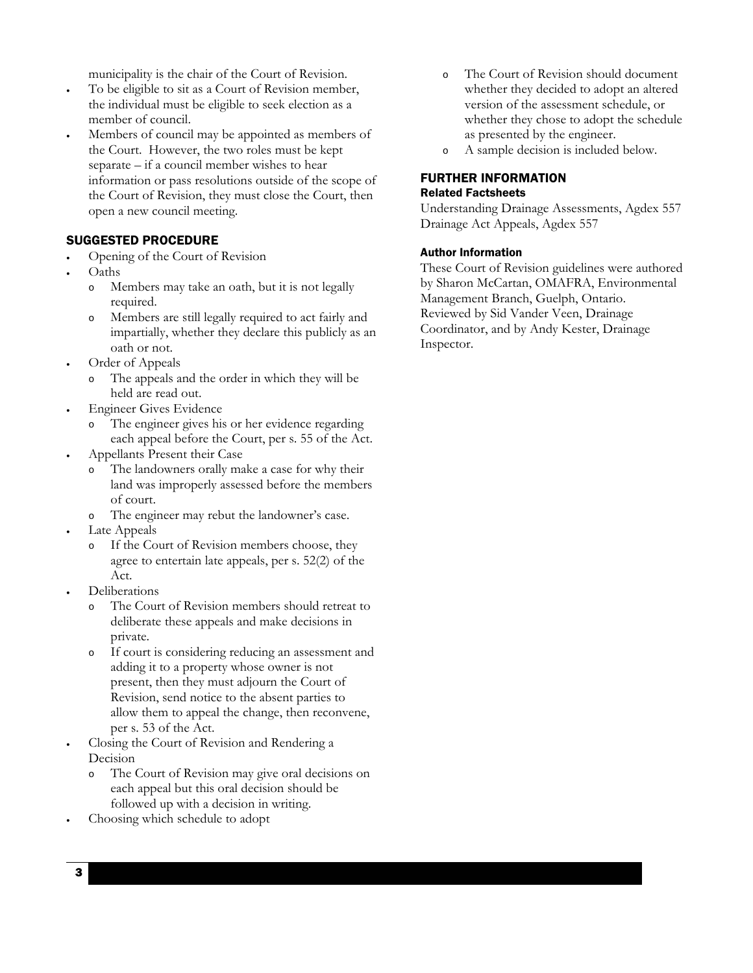municipality is the chair of the Court of Revision.

- the individual must be eligible to seek election as a To be eligible to sit as a Court of Revision member, member of council.
- Members of council may be appointed as members of the Court. However, the two roles must be kept the Court of Revision, they must close the Court, then open a new council meeting. separate – if a council member wishes to hear information or pass resolutions outside of the scope of

## SUGGESTED PROCEDURE

- Opening of the Court of Revision
- Oaths
	- o Members may take an oath, but it is not legally required.
	- impartially, whether they declare this publicly as an Members are still legally required to act fairly and oath or not.
- Order of Appeals
	- o The appeals and the order in which they will be held are read out.
- Engineer Gives Evidence
	- each appeal before the Court, per s. 55 of the Act. The engineer gives his or her evidence regarding
- Appellants Present their Case
	- land was improperly assessed before the members The landowners orally make a case for why their of court.
	- o The engineer may rebut the landowner's case.
- Late Appeals
	- agree to entertain late appeals, per s. 52(2) of the o If the Court of Revision members choose, they Act.
- Deliberations
	- o The Court of Revision members should retreat to deliberate these appeals and make decisions in private.
	- o If court is considering reducing an assessment and allow them to appeal the change, then reconvene, adding it to a property whose owner is not present, then they must adjourn the Court of Revision, send notice to the absent parties to per s. 53 of the Act.
- e Court of Revision and Rendering a Closing th Decision
	- o The Court of Revision may give oral decisions on each appeal but this oral decision should be followed up with a decision in writing.
- Choosing which schedule to adopt
- o The Court of Revision should document version of the assessment schedule, or whether they chose to adopt the schedule as presented by the engineer. whether they decided to adopt an altered
- o A sample decision is included below.

## FURTHER INFORMATION Related Factsheets

Understanding Drainage Assessments, Agdex 557 Drainage Act Appeals, Agdex 557

#### Author Information

by Sharon McCartan, OMAFRA, Environmental Reviewed by Sid Vander Veen, Drainage Coordinator, and by Andy Kester, Drainage Inspector. These Court of Revision guidelines were authored Management Branch, Guelph, Ontario.

3